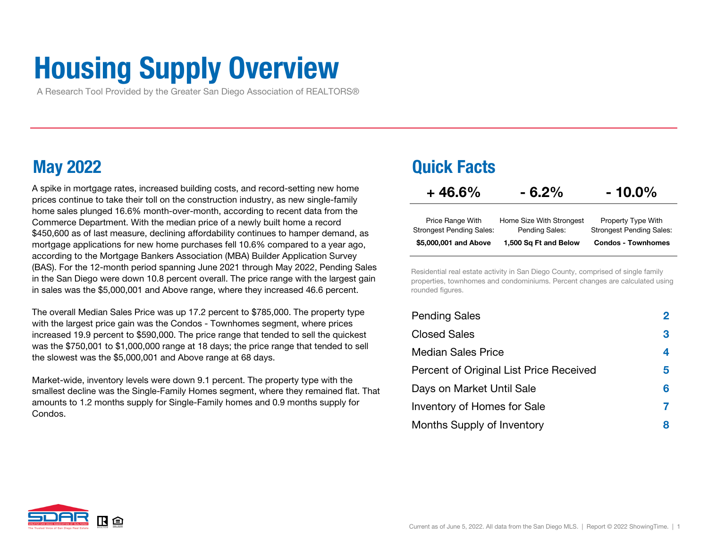# Housing Supply Overview

A Research Tool Provided by the Greater San Diego Association of REALTORS®

A spike in mortgage rates, increased building costs, and record-setting new home prices continue to take their toll on the construction industry, as new single-family home sales plunged 16.6% month-over-month, according to recent data from the Commerce Department. With the median price of a newly built home a record \$450,600 as of last measure, declining affordability continues to hamper demand, as mortgage applications for new home purchases fell 10.6% compared to a year ago, according to the Mortgage Bankers Association (MBA) Builder Application Survey (BAS). For the 12-month period spanning June 2021 through May 2022, Pending Sales in the San Diego were down 10.8 percent overall. The price range with the largest gain in sales was the \$5,000,001 and Above range, where they increased 46.6 percent.

The overall Median Sales Price was up 17.2 percent to \$785,000. The property type with the largest price gain was the Condos - Townhomes segment, where prices increased 19.9 percent to \$590,000. The price range that tended to sell the quickest was the \$750,001 to \$1,000,000 range at 18 days; the price range that tended to sell the slowest was the \$5,000,001 and Above range at 68 days.

Market-wide, inventory levels were down 9.1 percent. The property type with the smallest decline was the Single-Family Homes segment, where they remained flat. That amounts to 1.2 months supply for Single-Family homes and 0.9 months supply for Condos.

## May 2022 Quick Facts

| $+46.6\%$                       | $-6.2\%$                 | $-10.0\%$                       |
|---------------------------------|--------------------------|---------------------------------|
| Price Range With                | Home Size With Strongest | Property Type With              |
| <b>Strongest Pending Sales:</b> | Pending Sales:           | <b>Strongest Pending Sales:</b> |
| \$5,000,001 and Above           | 1,500 Sq Ft and Below    | <b>Condos - Townhomes</b>       |

Residential real estate activity in San Diego County, comprised of single family properties, townhomes and condominiums. Percent changes are calculated using rounded figures.

| <b>Pending Sales</b>                    | $\bf{2}$ |
|-----------------------------------------|----------|
| <b>Closed Sales</b>                     | 3        |
| <b>Median Sales Price</b>               | 4        |
| Percent of Original List Price Received | 5        |
| Days on Market Until Sale               | 6        |
| Inventory of Homes for Sale             |          |
| Months Supply of Inventory              | 8        |

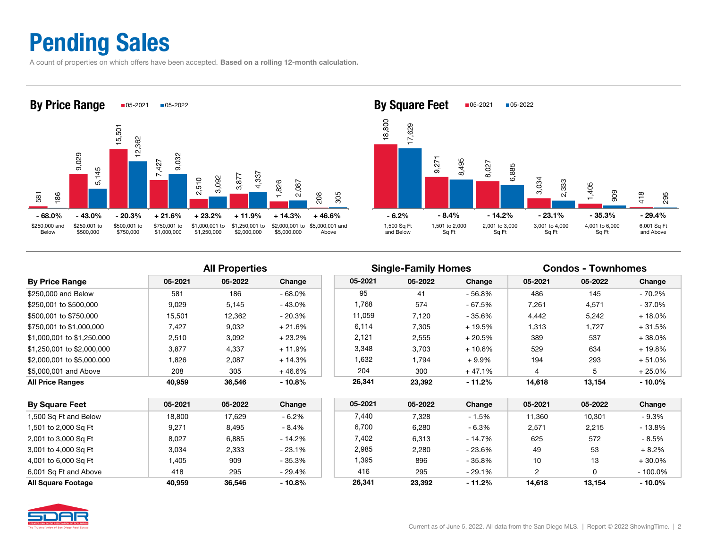## Pending Sales

A count of properties on which offers have been accepted. Based on a rolling 12-month calculation.





## All Properties The Single-Family Homes Condos - Townhomes

|                            |         | .       |           |         |         |           |         |         |           |
|----------------------------|---------|---------|-----------|---------|---------|-----------|---------|---------|-----------|
| <b>By Price Range</b>      | 05-2021 | 05-2022 | Change    | 05-2021 | 05-2022 | Change    | 05-2021 | 05-2022 | Change    |
| \$250,000 and Below        | 581     | 186     | $-68.0%$  | 95      | 41      | $-56.8%$  | 486     | 145     | - 70.2%   |
| \$250,001 to \$500,000     | 9.029   | 5,145   | $-43.0%$  | 1,768   | 574     | - 67.5%   | 7,261   | 4,571   | - 37.0%   |
| \$500,001 to \$750,000     | 15,501  | 12,362  | $-20.3%$  | 11.059  | 7.120   | - 35.6%   | 4,442   | 5,242   | $+18.0%$  |
| \$750,001 to \$1,000,000   | 7.427   | 9,032   | $+21.6\%$ | 6,114   | 7,305   | + 19.5%   | 1,313   | 1,727   | + 31.5%   |
| \$1,000,001 to \$1,250,000 | 2.510   | 3,092   | $+23.2%$  | 2,121   | 2,555   | $+20.5%$  | 389     | 537     | $+38.0%$  |
| \$1,250,001 to \$2,000,000 | 3.877   | 4,337   | $+11.9%$  | 3.348   | 3.703   | $+10.6\%$ | 529     | 634     | $+19.8%$  |
| \$2,000,001 to \$5,000,000 | .826    | 2,087   | $+14.3%$  | 1,632   | 1.794   | $+9.9%$   | 194     | 293     | $+51.0%$  |
| \$5,000,001 and Above      | 208     | 305     | $+46.6%$  | 204     | 300     | + 47.1%   |         | 5       | $+25.0\%$ |
| <b>All Price Ranges</b>    | 40.959  | 36.546  | $-10.8%$  | 26,341  | 23,392  | $-11.2%$  | 14,618  | 13,154  | $-10.0\%$ |
|                            |         |         |           |         |         |           |         |         |           |

| <b>By Square Feet</b> | 05-2021 | 05-2022 | Change   | 05-2021 | 05-2022 | Change   | 05-2021 | 05-2022 | Change     |
|-----------------------|---------|---------|----------|---------|---------|----------|---------|---------|------------|
| 1,500 Sq Ft and Below | 18,800  | 17,629  | $-6.2%$  | 7.440   | 7,328   | - 1.5%   | 11.360  | 10.301  | $-9.3\%$   |
| 1,501 to 2,000 Sq Ft  | 9,271   | 8,495   | $-8.4%$  | 6,700   | 6,280   | - 6.3%   | 2,571   | 2,215   | $-13.8%$   |
| 2,001 to 3,000 Sq Ft  | 8.027   | 6,885   | - 14.2%  | 7.402   | 6,313   | - 14.7%  | 625     | 572     | $-8.5%$    |
| 3,001 to 4,000 Sq Ft  | 3.034   | 2,333   | $-23.1%$ | 2,985   | 2,280   | - 23.6%  | 49      | 53      | $+8.2%$    |
| 4,001 to 6,000 Sq Ft  | .405    | 909     | - 35.3%  | 1,395   | 896     | - 35.8%  | 10      | 13      | $+30.0%$   |
| 6,001 Sq Ft and Above | 418     | 295     | - 29.4%  | 416     | 295     | $-29.1%$ |         |         | $-100.0\%$ |
| All Square Footage    | 40.959  | 36.546  | $-10.8%$ | 26.341  | 23.392  | $-11.2%$ | 14.618  | 13.154  | $-10.0\%$  |

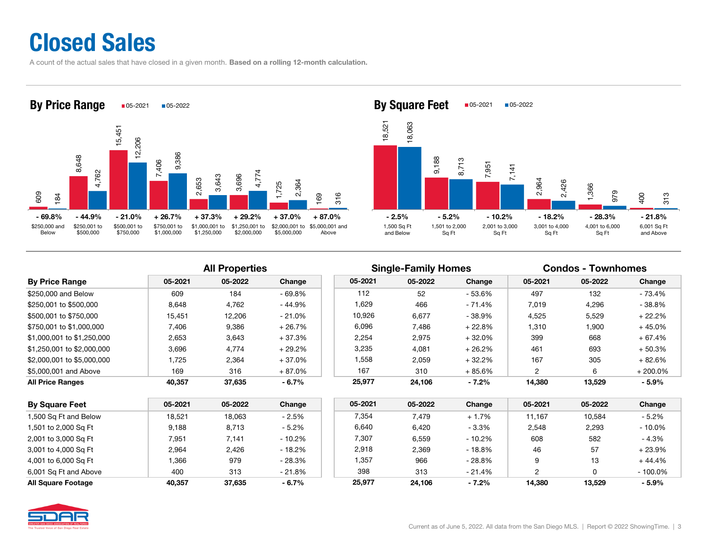## Closed Sales

A count of the actual sales that have closed in a given month. Based on a rolling 12-month calculation.





## All Properties **Single-Family Homes** Condos - Townhomes

|                            |         |         |           |         | $\tilde{\phantom{a}}$<br>- |          |         |         |            |
|----------------------------|---------|---------|-----------|---------|----------------------------|----------|---------|---------|------------|
| <b>By Price Range</b>      | 05-2021 | 05-2022 | Change    | 05-2021 | 05-2022                    | Change   | 05-2021 | 05-2022 | Change     |
| \$250,000 and Below        | 609     | 184     | $-69.8%$  | 112     | 52                         | - 53.6%  | 497     | 132     | - 73.4%    |
| \$250.001 to \$500.000     | 8,648   | 4,762   | $-44.9%$  | 629. ا  | 466                        | - 71.4%  | 7,019   | 4,296   | $-38.8%$   |
| \$500.001 to \$750.000     | 15.451  | 12,206  | $-21.0%$  | 10,926  | 6,677                      | - 38.9%  | 4,525   | 5,529   | $+22.2%$   |
| \$750.001 to \$1.000.000   | 7.406   | 9,386   | $+26.7%$  | 6,096   | 7.486                      | $+22.8%$ | 1,310   | 1,900   | $+45.0%$   |
| \$1,000,001 to \$1,250,000 | 2,653   | 3,643   | $+37.3%$  | 2,254   | 2,975                      | + 32.0%  | 399     | 668     | $+67.4%$   |
| \$1,250,001 to \$2,000,000 | 3.696   | 4,774   | $+29.2\%$ | 3,235   | 4.081                      | $+26.2%$ | 461     | 693     | $+50.3%$   |
| \$2.000.001 to \$5.000.000 | 1.725   | 2,364   | + 37.0%   | 1,558   | 2,059                      | $+32.2%$ | 167     | 305     | $+82.6%$   |
| \$5,000,001 and Above      | 169     | 316     | + 87.0%   | 167     | 310                        | $+85.6%$ | 2       | 6       | $+200.0\%$ |
| All Price Ranges           | 40,357  | 37,635  | $-6.7\%$  | 25,977  | 24,106                     | $-7.2\%$ | 14,380  | 13,529  | $-5.9%$    |
|                            |         |         |           |         |                            |          |         |         |            |

| <b>By Square Feet</b> | 05-2021 | 05-2022 | Change    | 05-2021 | 05-2022 | Change   | 05-2021 | 05-2022 | Change     |
|-----------------------|---------|---------|-----------|---------|---------|----------|---------|---------|------------|
| 1,500 Sq Ft and Below | 18.521  | 18.063  | - 2.5%    | 7.354   | 7,479   | $+1.7%$  | 11.167  | 10.584  | $-5.2\%$   |
| 1,501 to 2,000 Sq Ft  | 9.188   | 8,713   | $-5.2%$   | 6,640   | 6,420   | $-3.3%$  | 2,548   | 2.293   | $-10.0%$   |
| 2,001 to 3,000 Sq Ft  | 7,951   | 7.141   | $-10.2\%$ | 7,307   | 6.559   | $-10.2%$ | 608     | 582     | $-4.3%$    |
| 3,001 to 4,000 Sq Ft  | 2.964   | 2.426   | - 18.2%   | 2,918   | 2.369   | - 18.8%  | 46      | 57      | $+23.9%$   |
| 4,001 to 6,000 Sq Ft  | .366    | 979     | $-28.3%$  | 1,357   | 966     | $-28.8%$ | 9       | 13      | +44.4%     |
| 6,001 Sq Ft and Above | 400     | 313     | $-21.8%$  | 398     | 313     | - 21.4%  | ◠       |         | $-100.0\%$ |
| All Square Footage    | 40.357  | 37.635  | $-6.7\%$  | 25,977  | 24.106  | $-7.2\%$ | 14.380  | 13.529  | $-5.9%$    |

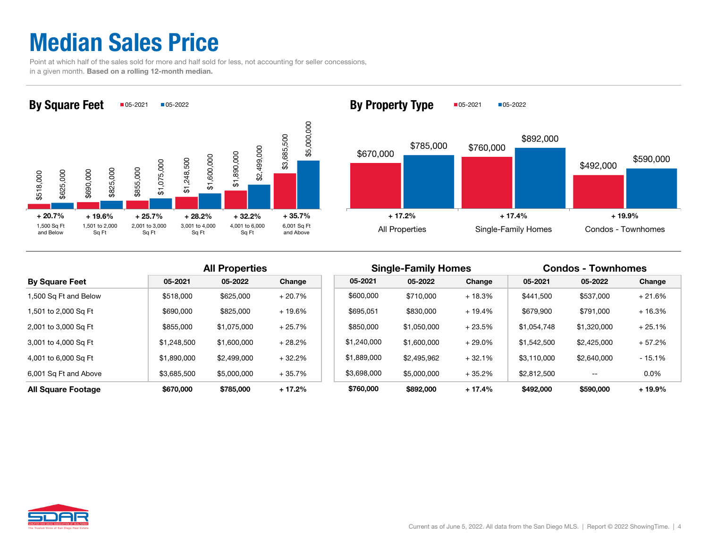## Median Sales Price

 Point at which half of the sales sold for more and half sold for less, not accounting for seller concessions, in a given month. Based on a rolling 12-month median.





|                           |             | <b>All Properties</b> |          |             | <b>Single-Family Homes</b> |           |             | <b>Condos - Townhomes</b> |          |
|---------------------------|-------------|-----------------------|----------|-------------|----------------------------|-----------|-------------|---------------------------|----------|
| <b>By Square Feet</b>     | 05-2021     | 05-2022               | Change   | 05-2021     | 05-2022                    | Change    | 05-2021     | 05-2022                   | Change   |
| 1,500 Sq Ft and Below     | \$518,000   | \$625,000             | $+20.7%$ | \$600,000   | \$710,000                  | $+18.3%$  | \$441,500   | \$537,000                 | $+21.6%$ |
| 1,501 to 2,000 Sq Ft      | \$690,000   | \$825,000             | $+19.6%$ | \$695,051   | \$830,000                  | + 19.4%   | \$679,900   | \$791,000                 | $+16.3%$ |
| 2,001 to 3,000 Sq Ft      | \$855,000   | \$1,075,000           | $+25.7%$ | \$850,000   | \$1,050,000                | $+23.5%$  | \$1,054,748 | \$1,320,000               | $+25.1%$ |
| 3,001 to 4,000 Sq Ft      | \$1,248,500 | \$1,600,000           | $+28.2%$ | \$1,240,000 | \$1,600,000                | $+29.0\%$ | \$1,542,500 | \$2,425,000               | $+57.2%$ |
| 4,001 to 6,000 Sq Ft      | \$1,890,000 | \$2,499,000           | $+32.2%$ | \$1,889,000 | \$2,495,962                | $+32.1%$  | \$3.110.000 | \$2,640,000               | $-15.1%$ |
| 6,001 Sq Ft and Above     | \$3,685,500 | \$5,000,000           | $+35.7%$ | \$3,698,000 | \$5,000,000                | $+35.2%$  | \$2,812,500 | $- -$                     | $0.0\%$  |
| <b>All Square Footage</b> | \$670,000   | \$785,000             | $+17.2%$ | \$760,000   | \$892,000                  | $+17.4%$  | \$492,000   | \$590,000                 | $+19.9%$ |

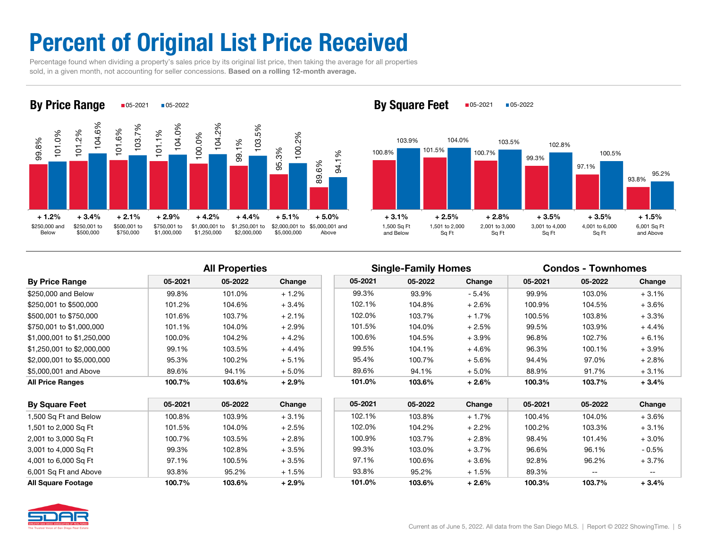## Percent of Original List Price Received

 Percentage found when dividing a property's sales price by its original list price, then taking the average for all properties sold, in a given month, not accounting for seller concessions. Based on a rolling 12-month average.



By Square Feet  $\Box$ 05-2021  $\Box$ 05-2022



| <b>By Price Range</b>      | 05-2021 | 05-2022 | Change   | 05-2021 | 05-2022 | Change   | 05-2021 | 05-2022 | Change  |
|----------------------------|---------|---------|----------|---------|---------|----------|---------|---------|---------|
| \$250,000 and Below        | 99.8%   | 101.0%  | $+1.2%$  | 99.3%   | 93.9%   | - 5.4%   | 99.9%   | 103.0%  | $+3.1%$ |
| \$250,001 to \$500,000     | 101.2%  | 104.6%  | $+3.4%$  | 102.1%  | 104.8%  | $+2.6%$  | 100.9%  | 104.5%  | $+3.6%$ |
| \$500,001 to \$750,000     | 101.6%  | 103.7%  | $+2.1%$  | 102.0%  | 103.7%  | $+1.7%$  | 100.5%  | 103.8%  | $+3.3%$ |
| \$750,001 to \$1,000,000   | 101.1%  | 104.0%  | $+2.9%$  | 101.5%  | 104.0%  | $+2.5%$  | 99.5%   | 103.9%  | $+4.4%$ |
| \$1,000,001 to \$1,250,000 | 100.0%  | 104.2%  | $+4.2%$  | 100.6%  | 104.5%  | $+3.9\%$ | 96.8%   | 102.7%  | $+6.1%$ |
| \$1,250,001 to \$2,000,000 | 99.1%   | 103.5%  | $+4.4%$  | 99.5%   | 104.1%  | $+4.6%$  | 96.3%   | 100.1%  | $+3.9%$ |
| \$2,000,001 to \$5,000,000 | 95.3%   | 100.2%  | $+5.1%$  | 95.4%   | 100.7%  | $+5.6\%$ | 94.4%   | 97.0%   | $+2.8%$ |
| \$5,000,001 and Above      | 89.6%   | 94.1%   | $+5.0\%$ | 89.6%   | 94.1%   | $+5.0\%$ | 88.9%   | 91.7%   | $+3.1%$ |
| <b>All Price Ranges</b>    | 100.7%  | 103.6%  | $+2.9%$  | 101.0%  | 103.6%  | $+2.6%$  | 100.3%  | 103.7%  | $+3.4%$ |

|                            |         | <b>All Properties</b> |         |         | <b>Single-Family Homes</b> |          |         | <b>Condos - Townhomes</b> |         |
|----------------------------|---------|-----------------------|---------|---------|----------------------------|----------|---------|---------------------------|---------|
| <b>By Price Range</b>      | 05-2021 | 05-2022               | Change  | 05-2021 | 05-2022                    | Change   | 05-2021 | 05-2022                   | Change  |
| \$250,000 and Below        | 99.8%   | 101.0%                | $+1.2%$ | 99.3%   | 93.9%                      | $-5.4%$  | 99.9%   | 103.0%                    | $+3.1%$ |
| \$250,001 to \$500,000     | 101.2%  | 104.6%                | $+3.4%$ | 102.1%  | 104.8%                     | $+2.6%$  | 100.9%  | 104.5%                    | $+3.6%$ |
| \$500.001 to \$750.000     | 101.6%  | 103.7%                | $+2.1%$ | 102.0%  | 103.7%                     | $+1.7%$  | 100.5%  | 103.8%                    | $+3.3%$ |
| \$750.001 to \$1.000.000   | 101.1%  | 104.0%                | $+2.9%$ | 101.5%  | 104.0%                     | $+2.5%$  | 99.5%   | 103.9%                    | $+4.4%$ |
| \$1,000,001 to \$1,250,000 | 100.0%  | 104.2%                | $+4.2%$ | 100.6%  | 104.5%                     | $+3.9\%$ | 96.8%   | 102.7%                    | $+6.1%$ |
| \$1,250,001 to \$2,000,000 | 99.1%   | 103.5%                | $+4.4%$ | 99.5%   | 104.1%                     | $+4.6%$  | 96.3%   | 100.1%                    | + 3.9%  |
| \$2,000,001 to \$5,000,000 | 95.3%   | 100.2%                | $+5.1%$ | 95.4%   | 100.7%                     | $+5.6%$  | 94.4%   | 97.0%                     | $+2.8%$ |

| <b>By Square Feet</b>     | 05-2021 | 05-2022 | Change  | 05-2021 | 05-2022 | Change  | 05-2021 | 05-2022 | Change   |
|---------------------------|---------|---------|---------|---------|---------|---------|---------|---------|----------|
| 1,500 Sq Ft and Below     | 100.8%  | 103.9%  | $+3.1%$ | 102.1%  | 103.8%  | $+1.7%$ | 100.4%  | 104.0%  | $+3.6%$  |
| 1,501 to 2,000 Sq Ft      | 101.5%  | 104.0%  | $+2.5%$ | 102.0%  | 104.2%  | $+2.2%$ | 100.2%  | 103.3%  | $+3.1%$  |
| 2,001 to 3,000 Sq Ft      | 100.7%  | 103.5%  | $+2.8%$ | 100.9%  | 103.7%  | $+2.8%$ | 98.4%   | 101.4%  | $+3.0%$  |
| 3,001 to 4,000 Sq Ft      | 99.3%   | 102.8%  | $+3.5%$ | 99.3%   | 103.0%  | $+3.7%$ | 96.6%   | 96.1%   | $-0.5\%$ |
| 4,001 to 6,000 Sq Ft      | 97.1%   | 100.5%  | $+3.5%$ | 97.1%   | 100.6%  | $+3.6%$ | 92.8%   | 96.2%   | $+3.7%$  |
| 6,001 Sq Ft and Above     | 93.8%   | 95.2%   | $+1.5%$ | 93.8%   | 95.2%   | $+1.5%$ | 89.3%   | --      | $- -$    |
| <b>All Square Footage</b> | 100.7%  | 103.6%  | $+2.9%$ | 101.0%  | 103.6%  | $+2.6%$ | 100.3%  | 103.7%  | $+3.4%$  |

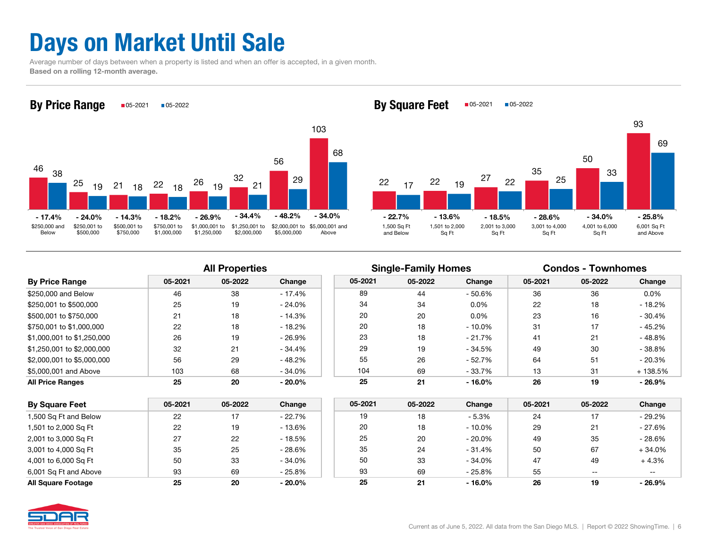## Days on Market Until Sale

 Average number of days between when a property is listed and when an offer is accepted, in a given month. Based on a rolling 12-month average.



2222  $19 \frac{27}{1}$ 35509317 $7$   $22$   $19$   $21$   $22$   $13$   $25$ 33 691,500 Sq Ft 1,501 to 2,000 2,001 to 3,000 3,001 to 4,000 4,001 to 6,000 6,001 Sq Ft  $-18.5\%$   $-28.6\%$   $-34.0\%$   $-25.8\%$ 

Sq Ft

Sq Ft

and Above

| <b>By Price Range</b>      | 05-2021 | 05-2022 | Change    |
|----------------------------|---------|---------|-----------|
| \$250,000 and Below        | 46      | 38      | $-17.4%$  |
| \$250,001 to \$500,000     | 25      | 19      | $-24.0%$  |
| \$500,001 to \$750,000     | 21      | 18      | $-14.3%$  |
| \$750,001 to \$1,000,000   | 22      | 18      | $-18.2%$  |
| \$1,000,001 to \$1,250,000 | 26      | 19      | $-26.9%$  |
| \$1,250,001 to \$2,000,000 | 32      | 21      | $-34.4%$  |
| \$2,000,001 to \$5,000,000 | 56      | 29      | $-48.2%$  |
| \$5,000,001 and Above      | 103     | 68      | $-34.0%$  |
| <b>All Price Ranges</b>    | 25      | 20      | $-20.0\%$ |

|                            |         | <b>All Properties</b> |           |         | <b>Single-Family Homes</b> |           | <b>Condos - Townhomes</b> |         |          |  |
|----------------------------|---------|-----------------------|-----------|---------|----------------------------|-----------|---------------------------|---------|----------|--|
| <b>By Price Range</b>      | 05-2021 | 05-2022               | Change    | 05-2021 | 05-2022                    | Change    | 05-2021                   | 05-2022 | Change   |  |
| \$250,000 and Below        | 46      | 38                    | - 17.4%   | 89      | 44                         | - 50.6%   | 36                        | 36      | $0.0\%$  |  |
| \$250.001 to \$500.000     | 25      | 19                    | $-24.0\%$ | 34      | 34                         | $0.0\%$   | 22                        | 18      | $-18.2%$ |  |
| \$500,001 to \$750,000     | 21      | 18                    | $-14.3%$  | 20      | 20                         | $0.0\%$   | 23                        | 16      | - 30.4%  |  |
| \$750.001 to \$1.000.000   | 22      | 18                    | $-18.2%$  | 20      | 18                         | - 10.0%   | 31                        | 17      | $-45.2%$ |  |
| \$1,000,001 to \$1,250,000 | 26      | 19                    | $-26.9\%$ | 23      | 18                         | - 21.7%   | 41                        | 21      | $-48.8%$ |  |
| \$1,250,001 to \$2,000,000 | 32      | 21                    | $-34.4%$  | 29      | 19                         | $-34.5%$  | 49                        | 30      | $-38.8%$ |  |
| \$2,000,001 to \$5,000,000 | 56      | 29                    | $-48.2%$  | 55      | 26                         | - 52.7%   | 64                        | 51      | $-20.3%$ |  |
| \$5,000,001 and Above      | 103     | 68                    | $-34.0%$  | 104     | 69                         | $-33.7%$  | 13                        | 31      | + 138.5% |  |
| All Price Ranges           | 25      | 20                    | $-20.0\%$ | 25      | 21                         | $-16.0\%$ | 26                        | 19      | $-26.9%$ |  |

Sq Ft

| <b>By Square Feet</b> | 05-2021 | 05-2022 | Change    | 05-2021 | 05-2022 | Change    | 05-2021 | 05-2022 | Change   |
|-----------------------|---------|---------|-----------|---------|---------|-----------|---------|---------|----------|
| 1,500 Sq Ft and Below | 22      |         | $-22.7%$  | 19      | 18      | - 5.3%    | 24      |         | $-29.2%$ |
| 1,501 to 2,000 Sq Ft  | 22      | 19      | - 13.6%   | 20      | 18      | - 10.0%   | 29      | 21      | - 27.6%  |
| 2,001 to 3,000 Sq Ft  | 27      | 22      | - 18.5%   | 25      | 20      | - 20.0%   | 49      | 35      | $-28.6%$ |
| 3,001 to 4,000 Sq Ft  | 35      | 25      | $-28.6\%$ | 35      | 24      | $-31.4%$  | 50      | 67      | $+34.0%$ |
| 4,001 to 6,000 Sq Ft  | 50      | 33      | $-34.0%$  | 50      | 33      | $-34.0%$  | 47      | 49      | $+4.3%$  |
| 6,001 Sq Ft and Above | 93      | 69      | $-25.8\%$ | 93      | 69      | $-25.8%$  | 55      | $- -$   | --       |
| All Square Footage    | 25      | 20      | $-20.0\%$ | 25      | 21      | $-16.0\%$ | 26      | 19      | $-26.9%$ |

and Below

Sq Ft

By Square Feet  $\Box$ 05-2021  $\Box$ 05-2022

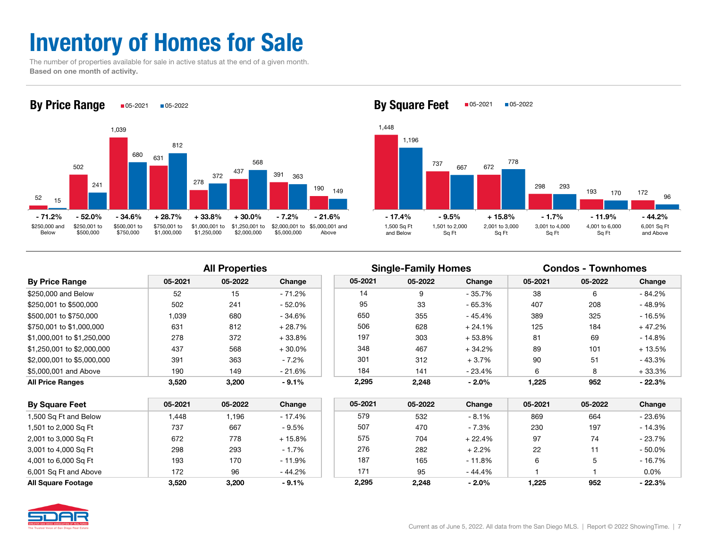## Inventory of Homes for Sale

 The number of properties available for sale in active status at the end of a given month. Based on one month of activity.



By Square Feet  $\Box$ 05-2021  $\Box$ 05-2022



| <b>By Price Range</b>      | 05-2021 | 05-2022 | Change   |
|----------------------------|---------|---------|----------|
| \$250,000 and Below        | 52      | 15      | - 71.2%  |
| \$250,001 to \$500,000     | 502     | 241     | $-52.0%$ |
| \$500,001 to \$750,000     | 1,039   | 680     | $-34.6%$ |
| \$750,001 to \$1,000,000   | 631     | 812     | $+28.7%$ |
| \$1,000,001 to \$1,250,000 | 278     | 372     | $+33.8%$ |
| \$1,250,001 to \$2,000,000 | 437     | 568     | $+30.0%$ |
| \$2,000,001 to \$5,000,000 | 391     | 363     | $-7.2%$  |
| \$5,000,001 and Above      | 190     | 149     | $-21.6%$ |
| <b>All Price Ranges</b>    | 3.520   | 3.200   | $-9.1%$  |

|                            |         | <b>All Properties</b> |          |         | <b>Single-Family Homes</b> |          | <b>Condos - Townhomes</b> |         |          |
|----------------------------|---------|-----------------------|----------|---------|----------------------------|----------|---------------------------|---------|----------|
| <b>By Price Range</b>      | 05-2021 | 05-2022               | Change   | 05-2021 | 05-2022                    | Change   | 05-2021                   | 05-2022 | Change   |
| \$250,000 and Below        | 52      | 15                    | $-71.2%$ | 14      |                            | $-35.7%$ | 38                        | 6       | $-84.2%$ |
| \$250.001 to \$500.000     | 502     | 241                   | $-52.0%$ | 95      | 33                         | $-65.3%$ | 407                       | 208     | $-48.9%$ |
| \$500,001 to \$750,000     | 1.039   | 680                   | $-34.6%$ | 650     | 355                        | - 45.4%  | 389                       | 325     | $-16.5%$ |
| \$750.001 to \$1.000.000   | 631     | 812                   | $+28.7%$ | 506     | 628                        | $+24.1%$ | 125                       | 184     | $+47.2%$ |
| \$1.000.001 to \$1.250.000 | 278     | 372                   | $+33.8%$ | 197     | 303                        | $+53.8%$ | 81                        | 69      | $-14.8%$ |
| \$1.250.001 to \$2.000.000 | 437     | 568                   | $+30.0%$ | 348     | 467                        | $+34.2%$ | 89                        | 101     | $+13.5%$ |
| \$2,000,001 to \$5,000,000 | 391     | 363                   | $-7.2%$  | 301     | 312                        | $+3.7%$  | 90                        | 51      | - 43.3%  |
| \$5,000,001 and Above      | 190     | 149                   | $-21.6%$ | 184     | 141                        | $-23.4%$ | 6                         | 8       | $+33.3%$ |
| All Price Ranges           | 3.520   | 3,200                 | $-9.1%$  | 2.295   | 2.248                      | $-2.0%$  | 1.225                     | 952     | $-22.3%$ |

| <b>By Square Feet</b>     | 05-2021 | 05-2022 | Change   | 05-2021 | 05-2022 | Change   | 05-2021 | 05-2022 | Change   |
|---------------------------|---------|---------|----------|---------|---------|----------|---------|---------|----------|
| 1,500 Sq Ft and Below     | 448. ا  | ',196   | $-17.4%$ | 579     | 532     | $-8.1%$  | 869     | 664     | $-23.6%$ |
| 1,501 to 2,000 Sq Ft      | 737     | 667     | $-9.5%$  | 507     | 470     | $-7.3%$  | 230     | 197     | $-14.3%$ |
| 2,001 to 3,000 Sq Ft      | 672     | 778     | + 15.8%  | 575     | 704     | $+22.4%$ | 97      | 74      | $-23.7%$ |
| 3,001 to 4,000 Sq Ft      | 298     | 293     | $-1.7%$  | 276     | 282     | $+2.2%$  | 22      |         | $-50.0%$ |
| 4,001 to 6,000 Sq Ft      | 193     | 170     | $-11.9%$ | 187     | 165     | $-11.8%$ | 6       |         | - 16.7%  |
| 6,001 Sq Ft and Above     | 172     | 96      | - 44.2%  | 171     | 95      | $-44.4%$ |         |         | $0.0\%$  |
| <b>All Square Footage</b> | 3.520   | 3,200   | $-9.1%$  | 2.295   | 2,248   | $-2.0%$  | 1.225   | 952     | $-22.3%$ |